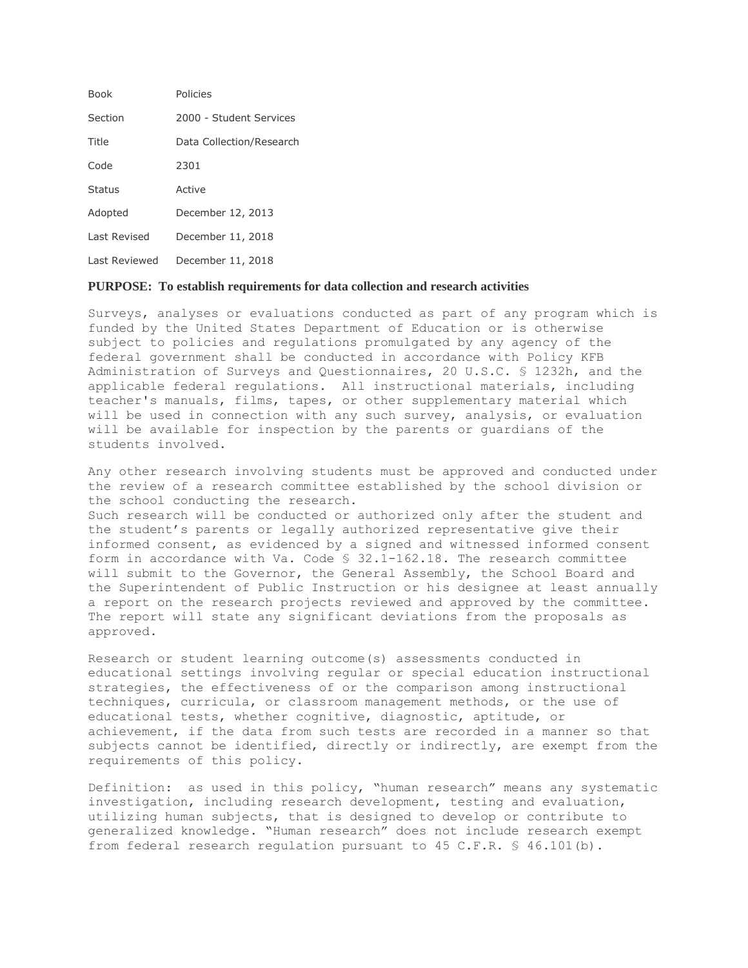| <b>Book</b>   | Policies                 |
|---------------|--------------------------|
| Section       | 2000 - Student Services  |
| Title         | Data Collection/Research |
| Code          | 2301                     |
| <b>Status</b> | Active                   |
| Adopted       | December 12, 2013        |
| Last Revised  | December 11, 2018        |
| Last Reviewed | December 11, 2018        |

#### **PURPOSE: To establish requirements for data collection and research activities**

Surveys, analyses or evaluations conducted as part of any program which is funded by the United States Department of Education or is otherwise subject to policies and regulations promulgated by any agency of the federal government shall be conducted in accordance with Policy KFB Administration of Surveys and Questionnaires, 20 U.S.C. § 1232h, and the applicable federal regulations. All instructional materials, including teacher's manuals, films, tapes, or other supplementary material which will be used in connection with any such survey, analysis, or evaluation will be available for inspection by the parents or guardians of the students involved.

Any other research involving students must be approved and conducted under the review of a research committee established by the school division or the school conducting the research. Such research will be conducted or authorized only after the student and the student's parents or legally authorized representative give their informed consent, as evidenced by a signed and witnessed informed consent form in accordance with Va. Code § 32.1-162.18. The research committee will submit to the Governor, the General Assembly, the School Board and the Superintendent of Public Instruction or his designee at least annually a report on the research projects reviewed and approved by the committee. The report will state any significant deviations from the proposals as approved.

Research or student learning outcome(s) assessments conducted in educational settings involving regular or special education instructional strategies, the effectiveness of or the comparison among instructional techniques, curricula, or classroom management methods, or the use of educational tests, whether cognitive, diagnostic, aptitude, or achievement, if the data from such tests are recorded in a manner so that subjects cannot be identified, directly or indirectly, are exempt from the requirements of this policy.

Definition: as used in this policy, "human research" means any systematic investigation, including research development, testing and evaluation, utilizing human subjects, that is designed to develop or contribute to generalized knowledge. "Human research" does not include research exempt from federal research regulation pursuant to 45 C.F.R. § 46.101(b).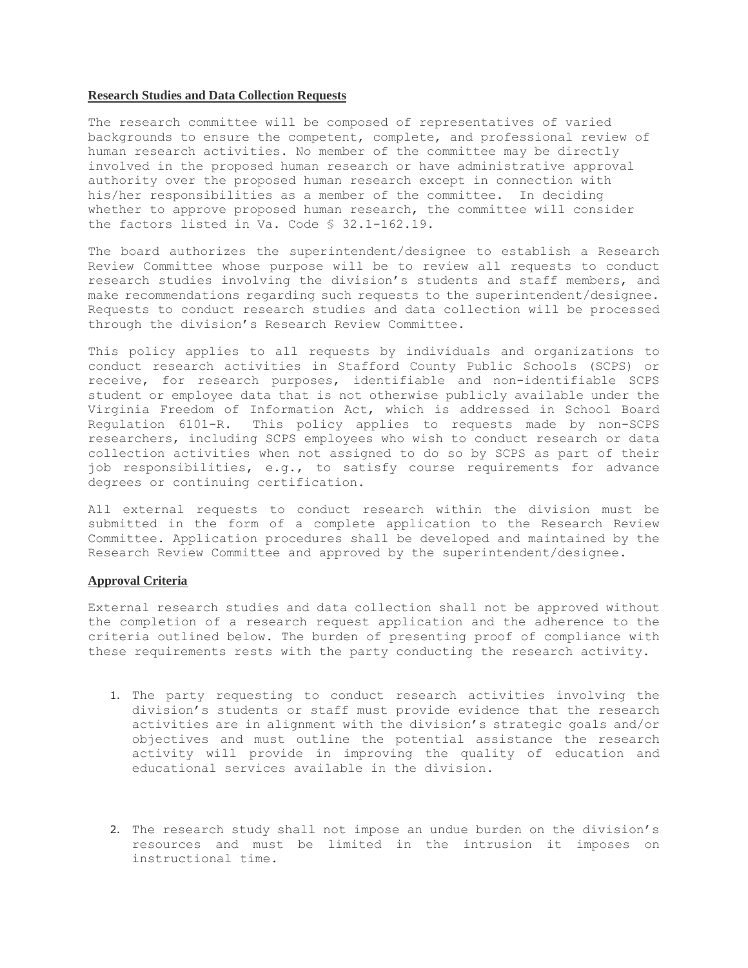### **Research Studies and Data Collection Requests**

The research committee will be composed of representatives of varied backgrounds to ensure the competent, complete, and professional review of human research activities. No member of the committee may be directly involved in the proposed human research or have administrative approval authority over the proposed human research except in connection with his/her responsibilities as a member of the committee. In deciding whether to approve proposed human research, the committee will consider the factors listed in Va. Code § 32.1-162.19.

The board authorizes the superintendent/designee to establish a Research Review Committee whose purpose will be to review all requests to conduct research studies involving the division's students and staff members, and make recommendations regarding such requests to the superintendent/designee. Requests to conduct research studies and data collection will be processed through the division's Research Review Committee.

This policy applies to all requests by individuals and organizations to conduct research activities in Stafford County Public Schools (SCPS) or receive, for research purposes, identifiable and non-identifiable SCPS student or employee data that is not otherwise publicly available under the Virginia Freedom of Information Act, which is addressed in School Board Regulation 6101-R. This policy applies to requests made by non-SCPS researchers, including SCPS employees who wish to conduct research or data collection activities when not assigned to do so by SCPS as part of their job responsibilities, e.g., to satisfy course requirements for advance degrees or continuing certification.

All external requests to conduct research within the division must be submitted in the form of a complete application to the Research Review Committee. Application procedures shall be developed and maintained by the Research Review Committee and approved by the superintendent/designee.

## **Approval Criteria**

External research studies and data collection shall not be approved without the completion of a research request application and the adherence to the criteria outlined below. The burden of presenting proof of compliance with these requirements rests with the party conducting the research activity.

- 1. The party requesting to conduct research activities involving the division's students or staff must provide evidence that the research activities are in alignment with the division's strategic goals and/or objectives and must outline the potential assistance the research activity will provide in improving the quality of education and educational services available in the division.
- 2. The research study shall not impose an undue burden on the division's resources and must be limited in the intrusion it imposes on instructional time.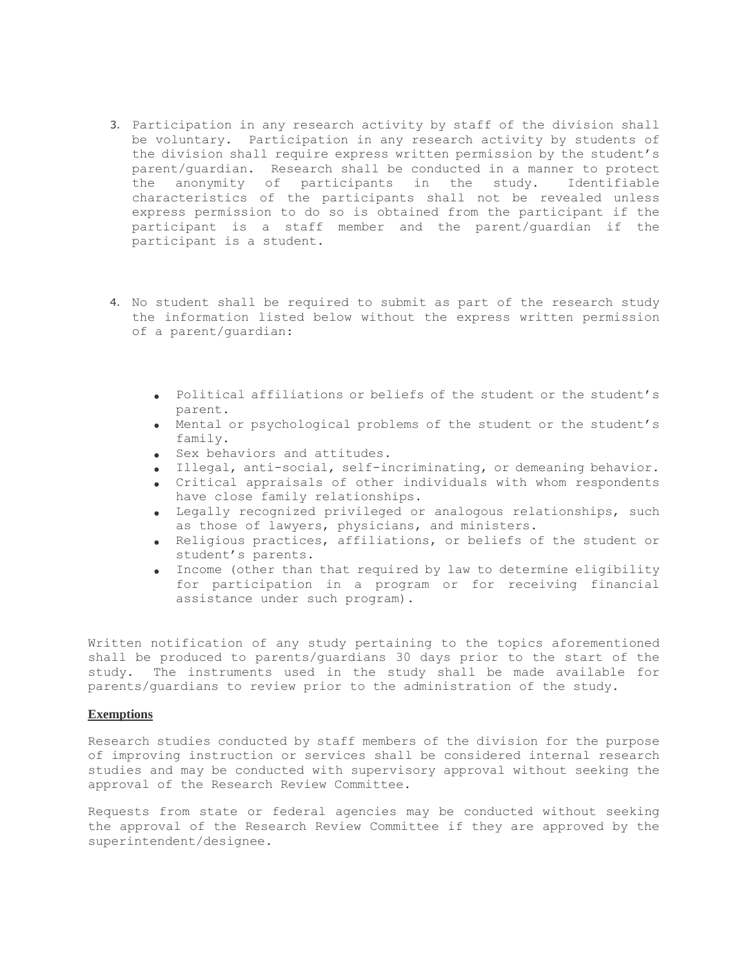- 3. Participation in any research activity by staff of the division shall be voluntary. Participation in any research activity by students of the division shall require express written permission by the student's parent/guardian. Research shall be conducted in a manner to protect the anonymity of participants in the study. Identifiable characteristics of the participants shall not be revealed unless express permission to do so is obtained from the participant if the participant is a staff member and the parent/guardian if the participant is a student.
- 4. No student shall be required to submit as part of the research study the information listed below without the express written permission of a parent/guardian:
	- Political affiliations or beliefs of the student or the student's parent.
	- Mental or psychological problems of the student or the student's family.
	- Sex behaviors and attitudes.
	- Illegal, anti-social, self-incriminating, or demeaning behavior.
	- Critical appraisals of other individuals with whom respondents have close family relationships.
	- Legally recognized privileged or analogous relationships, such as those of lawyers, physicians, and ministers.
	- Religious practices, affiliations, or beliefs of the student or student's parents.
	- Income (other than that required by law to determine eligibility for participation in a program or for receiving financial assistance under such program).

Written notification of any study pertaining to the topics aforementioned shall be produced to parents/guardians 30 days prior to the start of the study. The instruments used in the study shall be made available for parents/guardians to review prior to the administration of the study.

# **Exemptions**

Research studies conducted by staff members of the division for the purpose of improving instruction or services shall be considered internal research studies and may be conducted with supervisory approval without seeking the approval of the Research Review Committee.

Requests from state or federal agencies may be conducted without seeking the approval of the Research Review Committee if they are approved by the superintendent/designee.